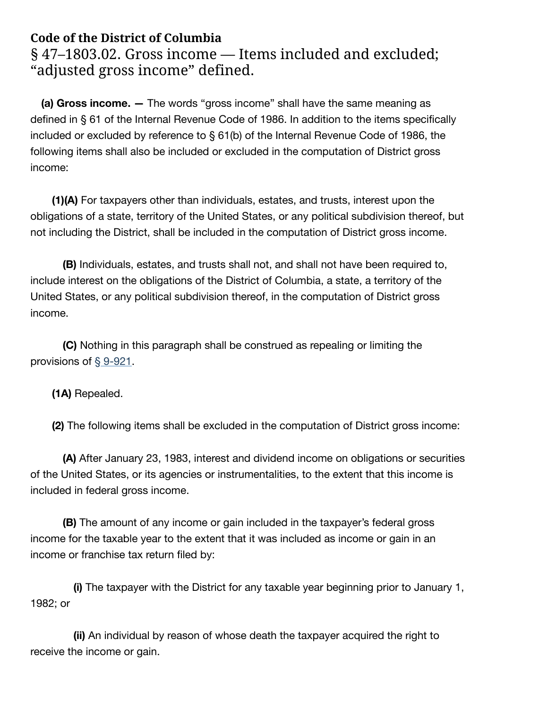# **Code of the District of Columbia**

§ 47-1803.02. Gross income - Items included and excluded; "adjusted gross income" defined.

**(a) Gross income. —** The words "gross income" shall have the same meaning as defined in § 61 of the Internal Revenue Code of 1986. In addition to the items specifically included or excluded by reference to § 61(b) of the Internal Revenue Code of 1986, the following items shall also be included or excluded in the computation of District gross income:

**(1)(A)** For taxpayers other than individuals, estates, and trusts, interest upon the obligations of a state, territory of the United States, or any political subdivision thereof, but not including the District, shall be included in the computation of District gross income.

**(B)** Individuals, estates, and trusts shall not, and shall not have been required to, include interest on the obligations of the District of Columbia, a state, a territory of the United States, or any political subdivision thereof, in the computation of District gross income.

**(C)** Nothing in this paragraph shall be construed as repealing or limiting the provisions of § [9-921](https://code.dccouncil.us/us/dc/council/code/sections/9-921).

**(1A)** Repealed.

**(2)** The following items shall be excluded in the computation of District gross income:

**(A)** After January 23, 1983, interest and dividend income on obligations or securities of the United States, or its agencies or instrumentalities, to the extent that this income is included in federal gross income.

**(B)** The amount of any income or gain included in the taxpayer's federal gross income for the taxable year to the extent that it was included as income or gain in an income or franchise tax return filed by:

**(i)** The taxpayer with the District for any taxable year beginning prior to January 1, 1982; or

**(ii)** An individual by reason of whose death the taxpayer acquired the right to receive the income or gain.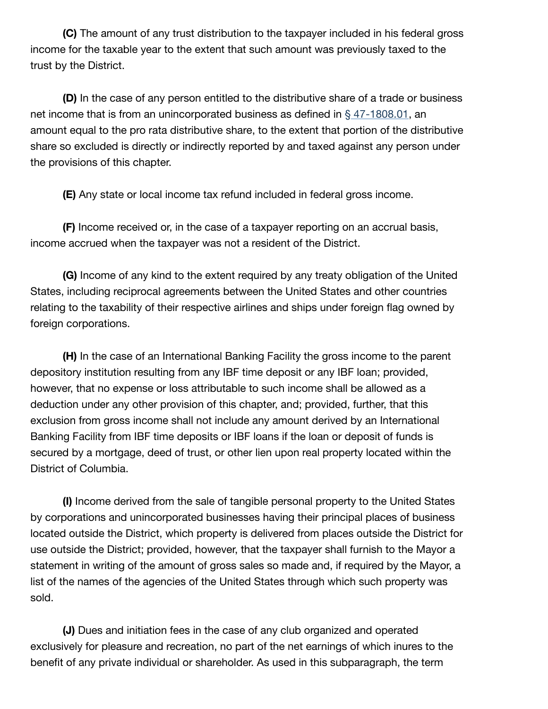**(C)** The amount of any trust distribution to the taxpayer included in his federal gross income for the taxable year to the extent that such amount was previously taxed to the trust by the District.

**(D)** In the case of any person entitled to the distributive share of a trade or business net income that is from an unincorporated business as defined in § [47-1808.01,](https://code.dccouncil.us/us/dc/council/code/sections/47-1808.01) an amount equal to the pro rata distributive share, to the extent that portion of the distributive share so excluded is directly or indirectly reported by and taxed against any person under the provisions of this chapter.

**(E)** Any state or local income tax refund included in federal gross income.

**(F)** Income received or, in the case of a taxpayer reporting on an accrual basis, income accrued when the taxpayer was not a resident of the District.

**(G)** Income of any kind to the extent required by any treaty obligation of the United States, including reciprocal agreements between the United States and other countries relating to the taxability of their respective airlines and ships under foreign flag owned by foreign corporations.

**(H)** In the case of an International Banking Facility the gross income to the parent depository institution resulting from any IBF time deposit or any IBF loan; provided, however, that no expense or loss attributable to such income shall be allowed as a deduction under any other provision of this chapter, and; provided, further, that this exclusion from gross income shall not include any amount derived by an International Banking Facility from IBF time deposits or IBF loans if the loan or deposit of funds is secured by a mortgage, deed of trust, or other lien upon real property located within the District of Columbia.

**(I)** Income derived from the sale of tangible personal property to the United States by corporations and unincorporated businesses having their principal places of business located outside the District, which property is delivered from places outside the District for use outside the District; provided, however, that the taxpayer shall furnish to the Mayor a statement in writing of the amount of gross sales so made and, if required by the Mayor, a list of the names of the agencies of the United States through which such property was sold.

**(J)** Dues and initiation fees in the case of any club organized and operated exclusively for pleasure and recreation, no part of the net earnings of which inures to the benefit of any private individual or shareholder. As used in this subparagraph, the term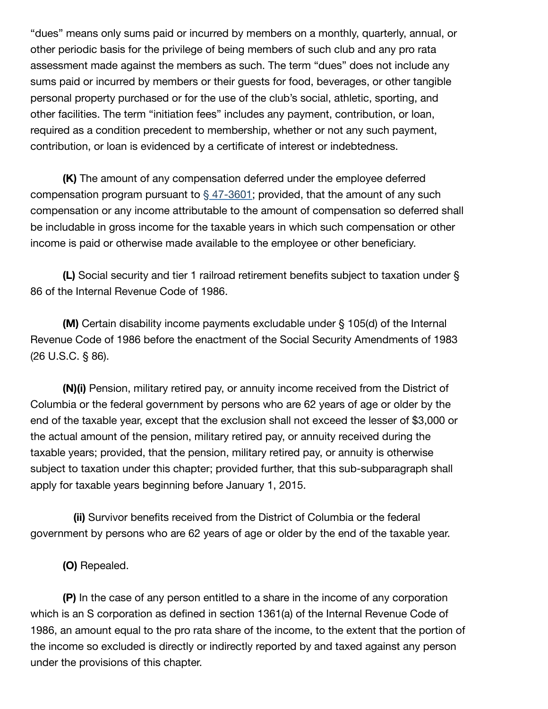"dues" means only sums paid or incurred by members on a monthly, quarterly, annual, or other periodic basis for the privilege of being members of such club and any pro rata assessment made against the members as such. The term "dues" does not include any sums paid or incurred by members or their guests for food, beverages, or other tangible personal property purchased or for the use of the club's social, athletic, sporting, and other facilities. The term "initiation fees" includes any payment, contribution, or loan, required as a condition precedent to membership, whether or not any such payment, contribution, or loan is evidenced by a certificate of interest or indebtedness.

**(K)** The amount of any compensation deferred under the employee deferred compensation program pursuant to  $\S$  [47-3601;](https://code.dccouncil.us/us/dc/council/code/sections/47-3601) provided, that the amount of any such compensation or any income attributable to the amount of compensation so deferred shall be includable in gross income for the taxable years in which such compensation or other income is paid or otherwise made available to the employee or other beneficiary.

**(L)** Social security and tier 1 railroad retirement benefits subject to taxation under § 86 of the Internal Revenue Code of 1986.

**(M)** Certain disability income payments excludable under § 105(d) of the Internal Revenue Code of 1986 before the enactment of the Social Security Amendments of 1983 (26 U.S.C. § 86).

**(N)(i)** Pension, military retired pay, or annuity income received from the District of Columbia or the federal government by persons who are 62 years of age or older by the end of the taxable year, except that the exclusion shall not exceed the lesser of \$3,000 or the actual amount of the pension, military retired pay, or annuity received during the taxable years; provided, that the pension, military retired pay, or annuity is otherwise subject to taxation under this chapter; provided further, that this sub-subparagraph shall apply for taxable years beginning before January 1, 2015.

**(ii)** Survivor benefits received from the District of Columbia or the federal government by persons who are 62 years of age or older by the end of the taxable year.

**(O)** Repealed.

**(P)** In the case of any person entitled to a share in the income of any corporation which is an S corporation as defined in section 1361(a) of the Internal Revenue Code of 1986, an amount equal to the pro rata share of the income, to the extent that the portion of the income so excluded is directly or indirectly reported by and taxed against any person under the provisions of this chapter.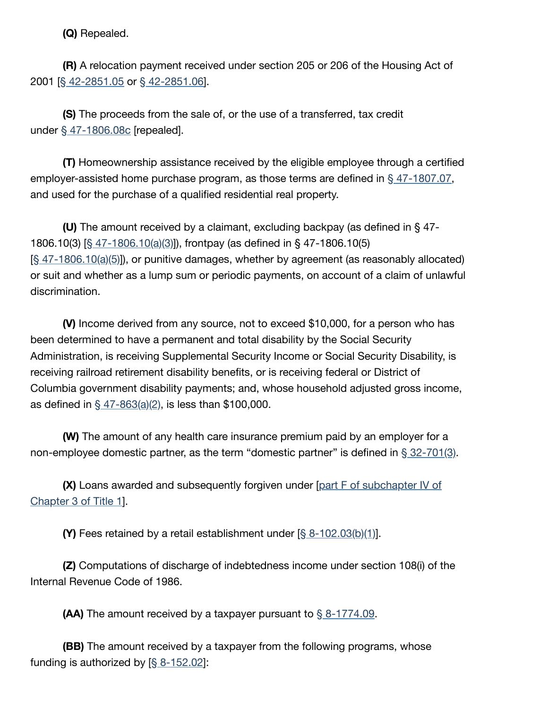**(Q)** Repealed.

**(R)** A relocation payment received under section 205 or 206 of the Housing Act of 2001 [§ [42-2851.05](https://code.dccouncil.us/us/dc/council/code/sections/42-2851.05) or § [42-2851.06\]](https://code.dccouncil.us/us/dc/council/code/sections/42-2851.06).

**(S)** The proceeds from the sale of, or the use of a transferred, tax credit under § [47-1806.08c](https://code.dccouncil.us/us/dc/council/code/sections/47-1806.08c) [repealed].

**(T)** Homeownership assistance received by the eligible employee through a certified employer-assisted home purchase program, as those terms are defined in § [47-1807.07,](https://code.dccouncil.us/us/dc/council/code/sections/47-1807.07) and used for the purchase of a qualified residential real property.

**(U)** The amount received by a claimant, excluding backpay (as defined in § 47- 1806.10(3) [§ [47-1806.10\(a\)\(3\)\]](https://code.dccouncil.us/us/dc/council/code/sections/47-1806.10#(a)(3))), frontpay (as defined in § 47-1806.10(5)  $[§ 47-1806.10(a)(5)]$  $[§ 47-1806.10(a)(5)]$  $[§ 47-1806.10(a)(5)]$ , or punitive damages, whether by agreement (as reasonably allocated) or suit and whether as a lump sum or periodic payments, on account of a claim of unlawful discrimination.

**(V)** Income derived from any source, not to exceed \$10,000, for a person who has been determined to have a permanent and total disability by the Social Security Administration, is receiving Supplemental Security Income or Social Security Disability, is receiving railroad retirement disability benefits, or is receiving federal or District of Columbia government disability payments; and, whose household adjusted gross income, as defined in  $\frac{47 - 863(a)(2)}{2}$ , is less than \$100,000.

**(W)** The amount of any health care insurance premium paid by an employer for a non-employee domestic partner, as the term "domestic partner" is defined in  $\S 32-701(3)$  $\S 32-701(3)$ .

**(X)** Loans awarded and [subsequently forgiven](https://code.dccouncil.us/us/dc/council/code/titles/1/chapters/3/subchapters/IV/parts/F) under [part F of subchapter IV of Chapter 3 of Title 1].

**(Y)** Fees retained by a retail establishment under [§ [8-102.03\(b\)\(1\)\]](https://code.dccouncil.us/us/dc/council/code/sections/8-102.03#(b)(1)).

**(Z)** Computations of discharge of indebtedness income under section 108(i) of the Internal Revenue Code of 1986.

**(AA)** The amount received by a taxpayer pursuant to § [8-1774.09](https://code.dccouncil.us/us/dc/council/code/sections/8-1774.09).

**(BB)** The amount received by a taxpayer from the following programs, whose funding is authorized by  $\S$  [8-152.02](https://code.dccouncil.us/us/dc/council/code/sections/8-152.02)]: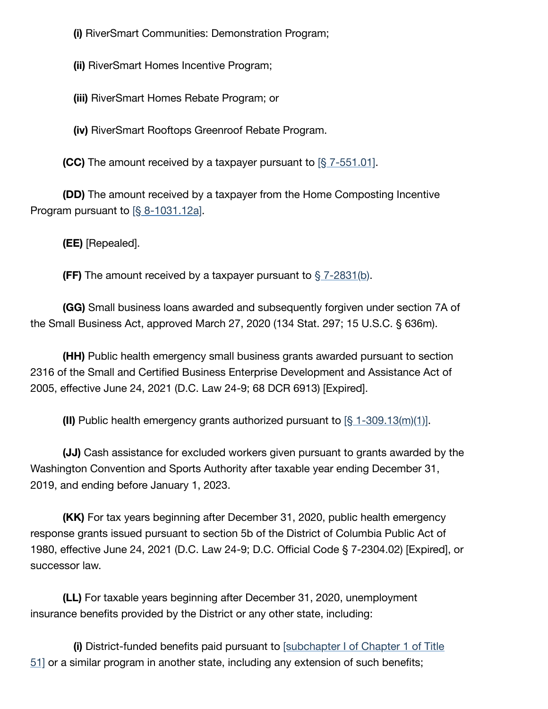**(i)** RiverSmart Communities: Demonstration Program;

**(ii)** RiverSmart Homes Incentive Program;

**(iii)** RiverSmart Homes Rebate Program; or

**(iv)** RiverSmart Rooftops Greenroof Rebate Program.

**(CC)** The amount received by a taxpayer pursuant to  $\left[\frac{8}{3}\right]$  [7-551.01\].](https://code.dccouncil.us/us/dc/council/code/sections/7-551.01)

**(DD)** The amount received by a taxpayer from the Home Composting Incentive Program pursuant to  $\S$  8-1031.12a.

**(EE)** [Repealed].

**(FF)** The amount received by a taxpayer pursuant to  $\S$  [7-2831\(b\)](https://code.dccouncil.us/us/dc/council/code/sections/7-2831#(b)).

**(GG)** Small business loans awarded and subsequently forgiven under section 7A of the Small Business Act, approved March 27, 2020 (134 Stat. 297; 15 U.S.C. § 636m).

**(HH)** Public health emergency small business grants awarded pursuant to section 2316 of the Small and Certified Business Enterprise Development and Assistance Act of 2005, effective June 24, 2021 (D.C. Law 24-9; 68 DCR 6913) [Expired].

**(II)** Public health emergency grants authorized pursuant to [§ [1-309.13\(m\)\(1\)\]](https://code.dccouncil.us/us/dc/council/code/sections/1-309.13#(m)(1)).

**(JJ)** Cash assistance for excluded workers given pursuant to grants awarded by the Washington Convention and Sports Authority after taxable year ending December 31, 2019, and ending before January 1, 2023.

**(KK)** For tax years beginning after December 31, 2020, public health emergency response grants issued pursuant to section 5b of the District of Columbia Public Act of 1980, effective June 24, 2021 (D.C. Law 24-9; D.C. Official Code § 7-2304.02) [Expired], or successor law.

**(LL)** For taxable years beginning after December 31, 2020, unemployment insurance benefits provided by the District or any other state, including:

**(i)** [District-funded](https://code.dccouncil.us/us/dc/council/code/titles/51/chapters/1/subchapters/I) benefits paid pursuant to [subchapter I of Chapter 1 of Title 51] or a similar program in another state, including any extension of such benefits;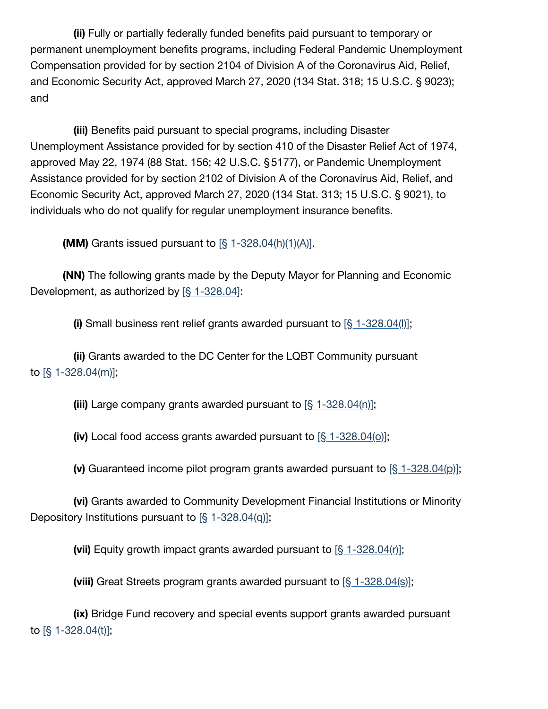**(ii)** Fully or partially federally funded benefits paid pursuant to temporary or permanent unemployment benefits programs, including Federal Pandemic Unemployment Compensation provided for by section 2104 of Division A of the Coronavirus Aid, Relief, and Economic Security Act, approved March 27, 2020 (134 Stat. 318; 15 U.S.C. § 9023); and

**(iii)** Benefits paid pursuant to special programs, including Disaster Unemployment Assistance provided for by section 410 of the Disaster Relief Act of 1974, approved May 22, 1974 (88 Stat. 156; 42 U.S.C. §5177), or Pandemic Unemployment Assistance provided for by section 2102 of Division A of the Coronavirus Aid, Relief, and Economic Security Act, approved March 27, 2020 (134 Stat. 313; 15 U.S.C. § 9021), to individuals who do not qualify for regular unemployment insurance benefits.

**(MM)** Grants issued pursuant to  $[\S 1 - 328.04(h)(1)(A)].$ 

**(NN)** The following grants made by the Deputy Mayor for Planning and Economic Development, as authorized by [§ [1-328.04\]](https://code.dccouncil.us/us/dc/council/code/sections/1-328.04):

**(i)** Small business rent relief grants awarded pursuant to [§ [1-328.04\(l\)\]](https://code.dccouncil.us/us/dc/council/code/sections/1-328.04#(l));

**(ii)** Grants awarded to the DC Center for the LQBT Community pursuant to [§ [1-328.04\(m\)\];](https://code.dccouncil.us/us/dc/council/code/sections/1-328.04#(m))

**(iii)** Large company grants awarded pursuant to [§ [1-328.04\(n\)\];](https://code.dccouncil.us/us/dc/council/code/sections/1-328.04#(n))

**(iv)** Local food access grants awarded pursuant to [§ [1-328.04\(o\)\];](https://code.dccouncil.us/us/dc/council/code/sections/1-328.04#(o))

**(v)** Guaranteed income pilot program grants awarded pursuant to [§ [1-328.04\(p\)\]](https://code.dccouncil.us/us/dc/council/code/sections/1-328.04#(p));

**(vi)** Grants awarded to Community Development Financial Institutions or Minority Depository Institutions pursuant to  $\left[\frac{6}{3} \frac{1 - 328.04}{q}\right]$ ;

**(vii)** Equity growth impact grants awarded pursuant to [§ [1-328.04\(r\)\]](https://code.dccouncil.us/us/dc/council/code/sections/1-328.04#(r));

**(viii)** Great Streets program grants awarded pursuant to [§ [1-328.04\(s\)\];](https://code.dccouncil.us/us/dc/council/code/sections/1-328.04#(s))

**(ix)** Bridge Fund recovery and special events support grants awarded pursuant to  $[§ 1-328.04(t)];$  $[§ 1-328.04(t)];$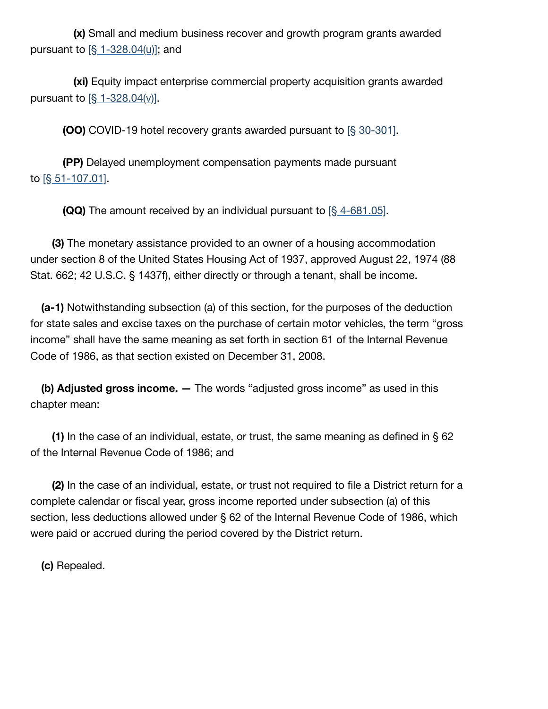**(x)** Small and medium business recover and growth program grants awarded pursuant to [§ [1-328.04\(u\)\];](https://code.dccouncil.us/us/dc/council/code/sections/1-328.04#(u)) and

**(xi)** Equity impact enterprise commercial property acquisition grants awarded pursuant to  $\left[\frac{6}{3} - \frac{328.04(y)}{2}\right]$ .

**(OO)** COVID-19 hotel recovery grants awarded pursuant to [§ [30-301\]](https://code.dccouncil.us/us/dc/council/code/sections/30-301).

**(PP)** Delayed unemployment compensation payments made pursuant to [§ [51-107.01\].](https://code.dccouncil.us/us/dc/council/code/sections/51-107.01)

**(QQ)** The amount received by an individual pursuant to [§ [4-681.05\]](https://code.dccouncil.us/us/dc/council/code/sections/4-681.05).

**(3)** The monetary assistance provided to an owner of a housing accommodation under section 8 of the United States Housing Act of 1937, approved August 22, 1974 (88 Stat. 662; 42 U.S.C. § 1437f), either directly or through a tenant, shall be income.

**(a-1)** Notwithstanding subsection (a) of this section, for the purposes of the deduction for state sales and excise taxes on the purchase of certain motor vehicles, the term "gross income" shall have the same meaning as set forth in section 61 of the Internal Revenue Code of 1986, as that section existed on December 31, 2008.

**(b) Adjusted gross income. —** The words "adjusted gross income" as used in this chapter mean:

**(1)** In the case of an individual, estate, or trust, the same meaning as defined in § 62 of the Internal Revenue Code of 1986; and

**(2)** In the case of an individual, estate, or trust not required to file a District return for a complete calendar or fiscal year, gross income reported under subsection (a) of this section, less deductions allowed under § 62 of the Internal Revenue Code of 1986, which were paid or accrued during the period covered by the District return.

**(c)** Repealed.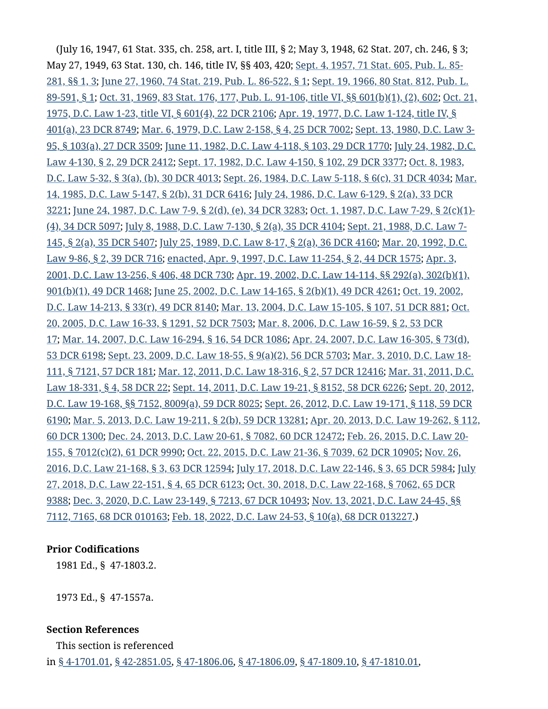(July 16, 1947, 61 Stat. 335, ch. 258, art. I, title III, § 2; May 3, 1948, 62 Stat. 207, ch. 246, § 3; May 27, 1949, 63 Stat. 130, ch. 146, title IV, §§ 403, 420; Sept. 4, 1957, [71 Stat.](https://code.dccouncil.us/us/congress/laws/public/85-281) 605, Pub. L. 85- 281, §§ 1, 3; June 27, 1960, [74 Stat.](https://code.dccouncil.us/us/congress/laws/public/86-522) 219, Pub. L. 86-522, § 1; Sept. 19, 1966, 80 Stat. 812, Pub. L. 89-591, § 1; Oct. 31, 1969, 83 Stat. 176, 177, Pub. L. 91-106, title VI, §§ [601\(b\)\(1\),](https://code.dccouncil.us/us/congress/laws/public/89-591) (2), 602; Oct. 21, 1975, D.C. Law 1-23, title VI, § 601(4), 22 DCR 2106; Apr. 19, 1977, D.C. [Law 1-124,](https://code.dccouncil.us/us/dc/council/laws/1-124) title IV, § 401(a), 23 DCR 8749; Mar. 6, 1979, D.C. [Law 2-158,](https://code.dccouncil.us/us/dc/council/laws/3-95) § 4, 25 DCR 7002; Sept. 13, 1980, D.C. Law 3- 95, § 103(a), 27 DCR 3509; June 11, 1982, D.C. [Law 4-118,](https://code.dccouncil.us/us/dc/council/laws/4-130) § 103, 29 DCR 1770; July 24, 1982, D.C. [Law 4-130,](https://code.dccouncil.us/us/dc/council/laws/5-32) § 2, 29 DCR 2412; Sept. 17, 1982, D.C. [Law 4-150,](https://code.dccouncil.us/us/dc/council/laws/4-150) § 102, 29 DCR 3377; Oct. 8, 1983, D.C. Law 5-32, § 3(a), (b), 30 DCR 4013; Sept. 26, 1984, D.C. [Law 5-118,](https://code.dccouncil.us/us/dc/council/laws/5-147) § 6(c), 31 DCR 4034; Mar. 14, 1985, D.C. [Law 5-147,](https://code.dccouncil.us/us/dc/council/laws/6-129) § 2(b), 31 DCR 6416; July 24, 1986, D.C. Law 6-129, § 2(a), 33 DCR 3221; June 24, 1987, D.C. [Law 7-9,](https://code.dccouncil.us/us/dc/council/laws/7-9) § 2(d), (e), 34 DCR 3283; Oct. 1, 1987, D.C. Law 7-29, § 2(c)(1)- (4), 34 DCR 5097; July 8, 1988, D.C. [Law 7-130,](https://code.dccouncil.us/us/dc/council/laws/7-145) § 2(a), 35 DCR 4104; Sept. 21, 1988, D.C. Law 7- 145, § 2(a), 35 DCR 5407; July 25, 1989, D.C. [Law 8-17,](https://code.dccouncil.us/us/dc/council/laws/8-17) § 2(a), 36 DCR 4160; Mar. 20, 1992, D.C. Law 9-86, § 2, 39 DCR 716; enacted, Apr. 9, 1997, D.C. [Law 11-254,](https://code.dccouncil.us/us/dc/council/laws/13-256) § 2, 44 DCR 1575; Apr. 3, 2001, D.C. [Law 13-256,](https://code.dccouncil.us/us/dc/council/laws/14-114) § 406, 48 DCR 730; Apr. 19, 2002, D.C. Law 14-114, §§ 292(a), 302(b)(1), 901(b)(1), 49 DCR 1468; June 25, 2002, D.C. [Law 14-165,](https://code.dccouncil.us/us/dc/council/laws/14-213) § 2(b)(1), 49 DCR 4261; Oct. 19, 2002, D.C. [Law 14-213,](https://code.dccouncil.us/us/dc/council/laws/16-33) § 33(r), 49 DCR 8140; Mar. 13, 2004, D.C. [Law 15-105,](https://code.dccouncil.us/us/dc/council/laws/15-105) § 107, 51 DCR 881; Oct. 20, 2005, D.C. Law 16-33, § 1291, 52 DCR 7503; Mar. 8, 2006, D.C. Law 16-59, § 2, 53 DCR 17; Mar. 14, 2007, D.C. [Law 16-294,](https://code.dccouncil.us/us/dc/council/laws/16-305) § 16, 54 DCR 1086; Apr. 24, 2007, D.C. Law 16-305, § 73(d), 53 DCR 6198; Sept. 23, 2009, D.C. [Law 18-55,](https://code.dccouncil.us/us/dc/council/laws/18-55) § 9(a)(2), 56 DCR 5703; Mar. 3, 2010, D.C. Law 18- 111, § 7121, 57 DCR 181; Mar. 12, 2011, D.C. [Law 18-316,](https://code.dccouncil.us/us/dc/council/laws/18-331) § 2, 57 DCR 12416; Mar. 31, 2011, D.C. [Law 18-331,](https://code.dccouncil.us/us/dc/council/laws/19-168) § 4, 58 DCR 22; Sept. 14, 2011, D.C. [Law 19-21,](https://code.dccouncil.us/us/dc/council/laws/19-21) § 8152, 58 DCR 6226; Sept. 20, 2012, D.C. [Law 19-168,](https://code.dccouncil.us/us/dc/council/laws/19-171) §§ 7152, 8009(a), 59 DCR 8025; Sept. 26, 2012, D.C. Law 19-171, § 118, 59 DCR 6190; Mar. 5, 2013, D.C. [Law 19-211,](https://code.dccouncil.us/us/dc/council/laws/19-262) § 2(b), 59 DCR 13281; Apr. 20, 2013, D.C. Law 19-262, § 112, 60 DCR 1300; Dec. 24, 2013, D.C. [Law 20-61,](https://code.dccouncil.us/us/dc/council/laws/20-155) § 7082, 60 DCR 12472; Feb. 26, 2015, D.C. Law 20- 155, § 7012(c)(2), 61 DCR 9990; Oct. 22, 2015, D.C. [Law 21-36,](https://code.dccouncil.us/us/dc/council/laws/21-36) § 7039, 62 DCR 10905; Nov. 26, 2016, D.C. [Law 21-168,](https://code.dccouncil.us/us/dc/council/laws/22-151#%C2%A74) § 3, 63 DCR 12594; July 17, 2018, D.C. [Law 22-146,](https://code.dccouncil.us/us/dc/council/laws/22-146#%C2%A73) § 3, 65 DCR 5984; July 27, 2018, D.C. Law 22-151, § 4, 65 DCR 6123; Oct. 30, 2018, D.C. [Law 22-168,](https://code.dccouncil.us/us/dc/council/laws/22-168#%C2%A77062) § 7062, 65 DCR 9388; Dec. 3, 2020, D.C. [Law 23-149,](https://code.dccouncil.us/us/dc/council/laws/24-45) § 7213, 67 DCR 10493; Nov. 13, 2021, D.C. Law 24-45, §§ 7112, 7165, 68 DCR 010163; Feb. 18, 2022, D.C. [Law 24-53,](https://code.dccouncil.us/us/dc/council/laws/24-53#%C2%A710(a)) § 10(a), 68 DCR 013227.)

#### **Prior Codifications**

1981 Ed., § 47-1803.2.

1973 Ed., § 47-1557a.

#### **Section References**

This section is referenced in § [4-1701.01,](https://code.dccouncil.us/us/dc/council/code/sections/4-1701.01) § [42-2851.05,](https://code.dccouncil.us/us/dc/council/code/sections/42-2851.05) § [47-1806.06,](https://code.dccouncil.us/us/dc/council/code/sections/47-1806.06) § [47-1806.09,](https://code.dccouncil.us/us/dc/council/code/sections/47-1806.09) § [47-1809.10,](https://code.dccouncil.us/us/dc/council/code/sections/47-1809.10) § [47-1810.01,](https://code.dccouncil.us/us/dc/council/code/sections/47-1810.01)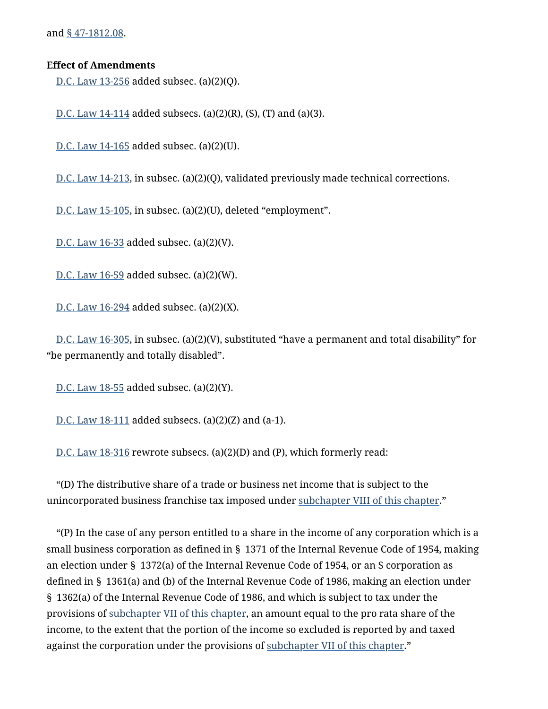and § [47-1812.08.](https://code.dccouncil.us/us/dc/council/code/sections/47-1812.08)

### **Effect of Amendments**

D.C. [Law 13-256](https://code.dccouncil.us/us/dc/council/laws/13-256) added subsec. (a)(2)(Q).

D.C. Law  $14-114$  added subsecs. (a)(2)(R), (S), (T) and (a)(3).

D.C. [Law 14-165](https://code.dccouncil.us/us/dc/council/laws/14-165) added subsec. (a)(2)(U).

D.C. [Law 14-213,](https://code.dccouncil.us/us/dc/council/laws/14-213) in subsec. (a)(2)(Q), validated previously made technical corrections.

D.C. [Law 15-105,](https://code.dccouncil.us/us/dc/council/laws/15-105) in subsec. (a)(2)(U), deleted "employment".

D.C. [Law 16-33](https://code.dccouncil.us/us/dc/council/laws/16-33) added subsec. (a)(2)(V).

D.C. [Law 16-59](https://code.dccouncil.us/us/dc/council/laws/16-59) added subsec. (a)(2)(W).

D.C. [Law 16-294](https://code.dccouncil.us/us/dc/council/laws/16-294) added subsec. (a)(2)(X).

D.C. [Law 16-305,](https://code.dccouncil.us/us/dc/council/laws/16-305) in subsec. (a)(2)(V), substituted "have a permanent and total disability" for "be permanently and totally disabled".

D.C. [Law 18-55](https://code.dccouncil.us/us/dc/council/laws/18-55) added subsec. (a)(2)(Y).

D.C. [Law 18-111](https://code.dccouncil.us/us/dc/council/laws/18-111) added subsecs. (a)(2)(Z) and (a-1).

D.C. [Law 18-316](https://code.dccouncil.us/us/dc/council/laws/18-316) rewrote subsecs. (a)(2)(D) and (P), which formerly read:

"(D) The distributive share of a trade or business net income that is subject to the unincorporated business franchise tax imposed under [subchapter VIII](https://code.dccouncil.us/us/dc/council/code/titles/47/chapters/18/subchapters/VIII) of this chapter."

"(P) In the case of any person entitled to a share in the income of any corporation which is a small business corporation as defined in § 1371 of the Internal Revenue Code of 1954, making an election under § 1372(a) of the Internal Revenue Code of 1954, or an S corporation as defined in § 1361(a) and (b) of the Internal Revenue Code of 1986, making an election under § 1362(a) of the Internal Revenue Code of 1986, and which is subject to tax under the provisions of [subchapter VII](https://code.dccouncil.us/us/dc/council/code/titles/47/chapters/18/subchapters/VII) of this chapter, an amount equal to the pro rata share of the income, to the extent that the portion of the income so excluded is reported by and taxed against the corporation under the provisions of [subchapter VII](https://code.dccouncil.us/us/dc/council/code/titles/47/chapters/18/subchapters/VII) of this chapter."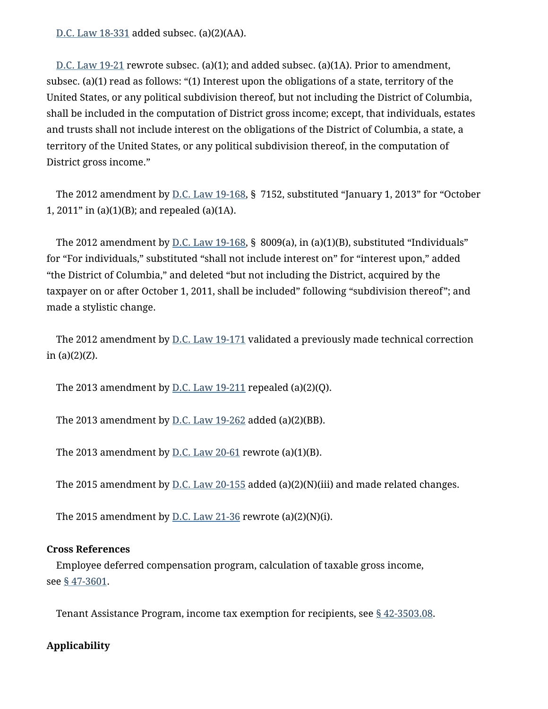D.C. [Law 18-331](https://code.dccouncil.us/us/dc/council/laws/18-331) added subsec. (a)(2)(AA).

D.C. [Law 19-21](https://code.dccouncil.us/us/dc/council/laws/19-21) rewrote subsec. (a)(1); and added subsec. (a)(1A). Prior to amendment, subsec. (a)(1) read as follows: "(1) Interest upon the obligations of a state, territory of the United States, or any political subdivision thereof, but not including the District of Columbia, shall be included in the computation of District gross income; except, that individuals, estates and trusts shall not include interest on the obligations of the District of Columbia, a state, a territory of the United States, or any political subdivision thereof, in the computation of District gross income."

The 2012 amendment by <u>D.C. [Law 19-168](https://code.dccouncil.us/us/dc/council/laws/19-168)</u>, § 7152, substituted "January 1, 2013" for "October 1, 2011" in (a)(1)(B); and repealed (a)(1A).

The 2012 amendment by  $\underline{\text{D.C.} \text{Law 19-168}}$  $\underline{\text{D.C.} \text{Law 19-168}}$  $\underline{\text{D.C.} \text{Law 19-168}}$ , § 8009(a), in (a)(1)(B), substituted "Individuals" for "For individuals," substituted "shall not include interest on" for "interest upon," added "the District of Columbia," and deleted "but not including the District, acquired by the taxpayer on or after October 1, 2011, shall be included" following "subdivision thereof"; and made a stylistic change.

The 2012 amendment by D.C. [Law 19-171](https://code.dccouncil.us/us/dc/council/laws/19-171) validated a previously made technical correction in (a)(2)(Z).

The 2013 amendment by  $D.C.$  [Law 19-211](https://code.dccouncil.us/us/dc/council/laws/19-211) repealed (a)(2)(Q).

The 2013 amendment by  $D.C.$  [Law 19-262](https://code.dccouncil.us/us/dc/council/laws/19-262) added (a)(2)(BB).

The 2013 amendment by  $D.C.$  [Law 20-61](https://code.dccouncil.us/us/dc/council/laws/20-61) rewrote (a)(1)(B).

The 2015 amendment by  $D.C. Law 20-155$  $D.C. Law 20-155$  added (a)(2)(N)(iii) and made related changes.

The 2015 amendment by  $D.C.$  [Law 21-36](https://code.dccouncil.us/us/dc/council/laws/21-36) rewrote (a)(2)(N)(i).

### **Cross References**

Employee deferred compensation program, calculation of taxable gross income, see § [47-3601.](https://code.dccouncil.us/us/dc/council/code/sections/47-3601)

Tenant Assistance Program, income tax exemption for recipients, see § [42-3503.08.](https://code.dccouncil.us/us/dc/council/code/sections/42-3503.08)

# **Applicability**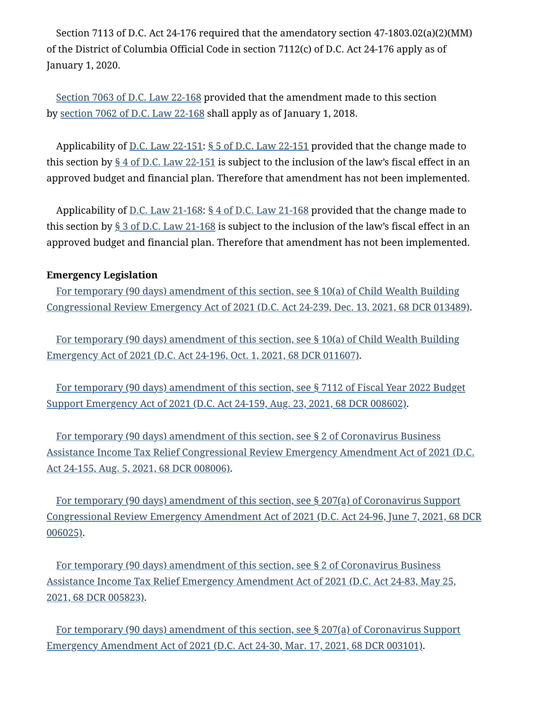Section 7113 of D.C. Act 24-176 required that the amendatory section 47-1803.02(a)(2)(MM) of the District of Columbia Official Code in section 7112(c) of D.C. Act 24-176 apply as of January 1, 2020.

Section 7063 of D.C. [Law 22-168](https://code.dccouncil.us/us/dc/council/laws/22-168#%C2%A77063) provided that the amendment made to this section by section 7062 of D.C. [Law 22-168](https://code.dccouncil.us/us/dc/council/laws/22-168#%C2%A77062) shall apply as of January 1, 2018.

Applicability of D.C. [Law 22-151:](https://code.dccouncil.us/us/dc/council/laws/22-151) § 5 of D.C. [Law 22-151](https://code.dccouncil.us/us/dc/council/laws/22-151#%C2%A75) provided that the change made to this section by  $\S 4$  of D.C. [Law 22-151](https://code.dccouncil.us/us/dc/council/laws/22-151#%C2%A74) is subject to the inclusion of the law's fiscal effect in an approved budget and financial plan. Therefore that amendment has not been implemented.

Applicability of <u>D.C. [Law 21-168:](https://code.dccouncil.us/us/dc/council/laws/21-168) § 4 of D.C. [Law 21-168](https://code.dccouncil.us/us/dc/council/laws/21-168#%C2%A74)</u> provided that the change made to this section by  $\S 3$  of D.C. [Law 21-168](https://code.dccouncil.us/us/dc/council/laws/21-168#%C2%A73) is subject to the inclusion of the law's fiscal effect in an approved budget and financial plan. Therefore that amendment has not been implemented.

## **Emergency Legislation**

[For temporary](https://code.dccouncil.us/us/dc/council/acts/24-239#%C2%A710(a)) (90 days) amendment of this section, see § 10(a) of Child Wealth Building [Congressional Review Emergency](https://code.dccouncil.us/us/dc/council/acts/24-239#%C2%A710(a)) Act of 2021 (D.C. Act 24-239, Dec. 13, 2021, 68 DCR 013489).

[For temporary](https://code.dccouncil.us/us/dc/council/acts/24-196#%C2%A710(a)) (90 days) amendment of this section, see § 10(a) of Child [Wealth Building](https://code.dccouncil.us/us/dc/council/acts/24-196#%C2%A710(a)) Emergency Act of 2021 (D.C. Act 24-196, Oct. 1, 2021, 68 DCR 011607).

[For temporary](https://code.dccouncil.us/us/dc/council/acts/24-159#%C2%A77112) (90 days) amendment of this section, see § 7112 of [Fiscal Year 2022 Budget](https://code.dccouncil.us/us/dc/council/acts/24-159#%C2%A77112) Support Emergency Act of 2021 (D.C. Act 24-159, Aug. 23, 2021, 68 DCR 008602).

[For temporary](https://code.dccouncil.us/us/dc/council/acts/24-155#%C2%A72) (90 days) amendment of this section, see § 2 of Coronavirus Business Assistance Income Tax Relief [Congressional Review Emergency](https://code.dccouncil.us/us/dc/council/acts/24-155#%C2%A72) Amendment Act of 2021 (D.C. Act 24-155, Aug. 5, 2021, 68 DCR 008006).

[For temporary](https://code.dccouncil.us/us/dc/council/acts/24-96#%C2%A7207(a)) (90 days) amendment of this section, see § 207(a) of Coronavirus Support [Congressional Review Emergency](https://code.dccouncil.us/us/dc/council/acts/24-96#%C2%A7207(a)) Amendment Act of 2021 (D.C. Act 24-96, June 7, 2021, 68 DCR 006025).

[For temporary](https://code.dccouncil.us/us/dc/council/acts/24-83#%C2%A72) (90 days) amendment of this section, see § 2 of Coronavirus Business Assistance Income Tax Relief Emergency Amendment Act of 2021 (D.C. Act 24-83, May 25, 2021, 68 DCR 005823).

[For temporary](https://code.dccouncil.us/us/dc/council/acts/24-30#%C2%A7207(a)) (90 days) amendment of this section, see § 207(a) of Coronavirus Support Emergency Amendment Act of 2021 (D.C. Act 24-30, Mar. 17, 2021, 68 DCR 003101).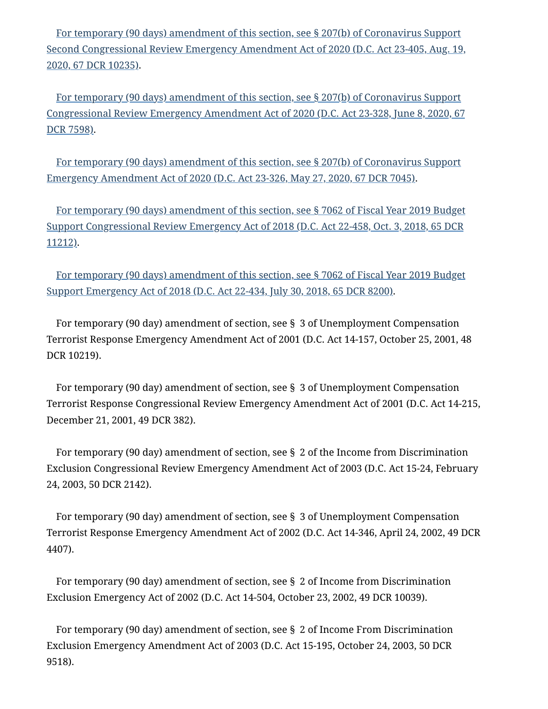[For temporary](https://code.dccouncil.us/us/dc/council/acts/23-405#%C2%A7207(b)) (90 days) amendment of this section, see § 207(b) of Coronavirus Support Second [Congressional Review Emergency](https://code.dccouncil.us/us/dc/council/acts/23-405#%C2%A7207(b)) Amendment Act of 2020 (D.C. Act 23-405, Aug. 19, 2020, 67 DCR 10235).

[For temporary](https://code.dccouncil.us/us/dc/council/acts/23-328#%C2%A7207(b)) (90 days) amendment of this section, see § 207(b) of Coronavirus Support [Congressional Review Emergency](https://code.dccouncil.us/us/dc/council/acts/23-328#%C2%A7207(b)) Amendment Act of 2020 (D.C. Act 23-328, June 8, 2020, 67 DCR 7598).

[For temporary](https://code.dccouncil.us/us/dc/council/acts/23-326#%C2%A7207(b)) (90 days) amendment of this section, see § 207(b) of Coronavirus Support Emergency Amendment Act of 2020 (D.C. Act 23-326, May 27, 2020, 67 DCR 7045).

[For temporary](https://code.dccouncil.us/us/dc/council/acts/22-458#%C2%A77062) (90 days) amendment of this section, see § 7062 of Fiscal Year 2019 Budget Support [Congressional Review Emergency](https://code.dccouncil.us/us/dc/council/acts/22-458#%C2%A77062) Act of 2018 (D.C. Act 22-458, Oct. 3, 2018, 65 DCR 11212).

[For temporary](https://code.dccouncil.us/us/dc/council/acts/22-434#%C2%A77062) (90 days) amendment of this section, see § 7062 of [Fiscal Year 2019 Budget](https://code.dccouncil.us/us/dc/council/acts/22-434#%C2%A77062) Support Emergency Act of 2018 (D.C. Act 22-434, July 30, 2018, 65 DCR 8200).

For temporary (90 day) amendment of section, see § 3 of Unemployment Compensation Terrorist Response Emergency Amendment Act of 2001 (D.C. Act 14-157, October 25, 2001, 48 DCR 10219).

For temporary (90 day) amendment of section, see § 3 of Unemployment Compensation Terrorist Response Congressional Review Emergency Amendment Act of 2001 (D.C. Act 14-215, December 21, 2001, 49 DCR 382).

For temporary (90 day) amendment of section, see § 2 of the Income from Discrimination Exclusion Congressional Review Emergency Amendment Act of 2003 (D.C. Act 15-24, February 24, 2003, 50 DCR 2142).

For temporary (90 day) amendment of section, see § 3 of Unemployment Compensation Terrorist Response Emergency Amendment Act of 2002 (D.C. Act 14-346, April 24, 2002, 49 DCR 4407).

For temporary (90 day) amendment of section, see § 2 of Income from Discrimination Exclusion Emergency Act of 2002 (D.C. Act 14-504, October 23, 2002, 49 DCR 10039).

For temporary (90 day) amendment of section, see § 2 of Income From Discrimination Exclusion Emergency Amendment Act of 2003 (D.C. Act 15-195, October 24, 2003, 50 DCR 9518).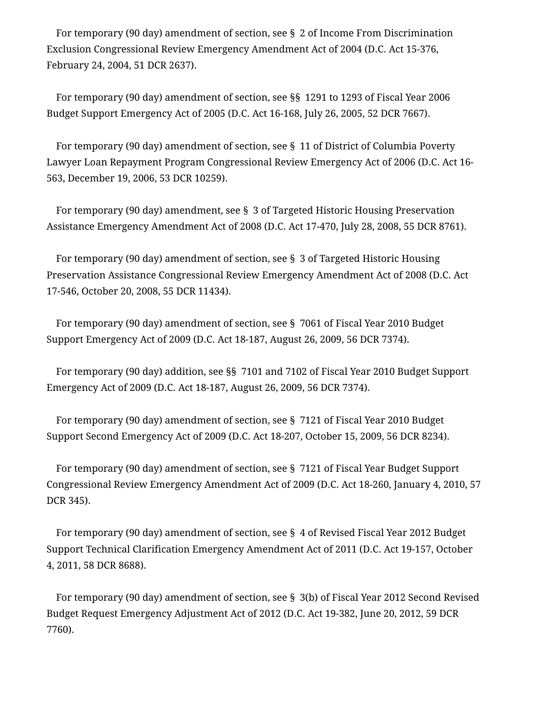For temporary (90 day) amendment of section, see § 2 of Income From Discrimination Exclusion Congressional Review Emergency Amendment Act of 2004 (D.C. Act 15-376, February 24, 2004, 51 DCR 2637).

For temporary (90 day) amendment of section, see §§ 1291 to 1293 of Fiscal Year 2006 Budget Support Emergency Act of 2005 (D.C. Act 16-168, July 26, 2005, 52 DCR 7667).

For temporary (90 day) amendment of section, see § 11 of District of Columbia Poverty Lawyer Loan Repayment Program Congressional Review Emergency Act of 2006 (D.C. Act 16- 563, December 19, 2006, 53 DCR 10259).

For temporary (90 day) amendment, see § 3 of Targeted Historic Housing Preservation Assistance Emergency Amendment Act of 2008 (D.C. Act 17-470, July 28, 2008, 55 DCR 8761).

For temporary (90 day) amendment of section, see § 3 of Targeted Historic Housing Preservation Assistance Congressional Review Emergency Amendment Act of 2008 (D.C. Act 17-546, October 20, 2008, 55 DCR 11434).

For temporary (90 day) amendment of section, see § 7061 of Fiscal Year 2010 Budget Support Emergency Act of 2009 (D.C. Act 18-187, August 26, 2009, 56 DCR 7374).

For temporary (90 day) addition, see §§ 7101 and 7102 of Fiscal Year 2010 Budget Support Emergency Act of 2009 (D.C. Act 18-187, August 26, 2009, 56 DCR 7374).

For temporary (90 day) amendment of section, see § 7121 of Fiscal Year 2010 Budget Support Second Emergency Act of 2009 (D.C. Act 18-207, October 15, 2009, 56 DCR 8234).

For temporary (90 day) amendment of section, see § 7121 of Fiscal Year Budget Support Congressional Review Emergency Amendment Act of 2009 (D.C. Act 18-260, January 4, 2010, 57 DCR 345).

For temporary (90 day) amendment of section, see § 4 of Revised Fiscal Year 2012 Budget Support Technical Clarification Emergency Amendment Act of 2011 (D.C. Act 19-157, October 4, 2011, 58 DCR 8688).

For temporary (90 day) amendment of section, see § 3(b) of Fiscal Year 2012 Second Revised Budget Request Emergency Adjustment Act of 2012 (D.C. Act 19-382, June 20, 2012, 59 DCR 7760).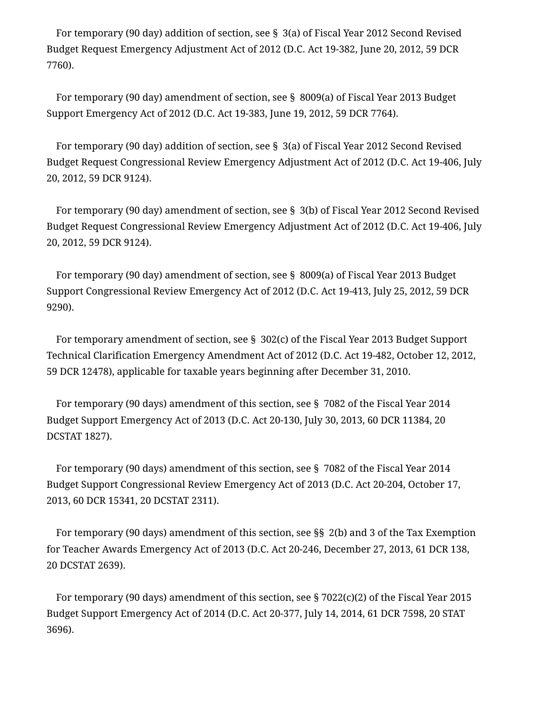For temporary (90 day) addition of section, see § 3(a) of Fiscal Year 2012 Second Revised Budget Request Emergency Adjustment Act of 2012 (D.C. Act 19-382, June 20, 2012, 59 DCR 7760).

For temporary (90 day) amendment of section, see § 8009(a) of Fiscal Year 2013 Budget Support Emergency Act of 2012 (D.C. Act 19-383, June 19, 2012, 59 DCR 7764).

For temporary (90 day) addition of section, see § 3(a) of Fiscal Year 2012 Second Revised Budget Request Congressional Review Emergency Adjustment Act of 2012 (D.C. Act 19-406, July 20, 2012, 59 DCR 9124).

For temporary (90 day) amendment of section, see § 3(b) of Fiscal Year 2012 Second Revised Budget Request Congressional Review Emergency Adjustment Act of 2012 (D.C. Act 19-406, July 20, 2012, 59 DCR 9124).

For temporary (90 day) amendment of section, see § 8009(a) of Fiscal Year 2013 Budget Support Congressional Review Emergency Act of 2012 (D.C. Act 19-413, July 25, 2012, 59 DCR 9290).

For temporary amendment of section, see § 302(c) of the Fiscal Year 2013 Budget Support Technical Clarification Emergency Amendment Act of 2012 (D.C. Act 19-482, October 12, 2012, 59 DCR 12478), applicable for taxable years beginning after December 31, 2010.

For temporary (90 days) amendment of this section, see § 7082 of the Fiscal Year 2014 Budget Support Emergency Act of 2013 (D.C. Act 20-130, July 30, 2013, 60 DCR 11384, 20 DCSTAT 1827).

For temporary (90 days) amendment of this section, see § 7082 of the Fiscal Year 2014 Budget Support Congressional Review Emergency Act of 2013 (D.C. Act 20-204, October 17, 2013, 60 DCR 15341, 20 DCSTAT 2311).

For temporary (90 days) amendment of this section, see §§ 2(b) and 3 of the Tax Exemption for Teacher Awards Emergency Act of 2013 (D.C. Act 20-246, December 27, 2013, 61 DCR 138, 20 DCSTAT 2639).

For temporary (90 days) amendment of this section, see § 7022(c)(2) of the Fiscal Year 2015 Budget Support Emergency Act of 2014 (D.C. Act 20-377, July 14, 2014, 61 DCR 7598, 20 STAT 3696).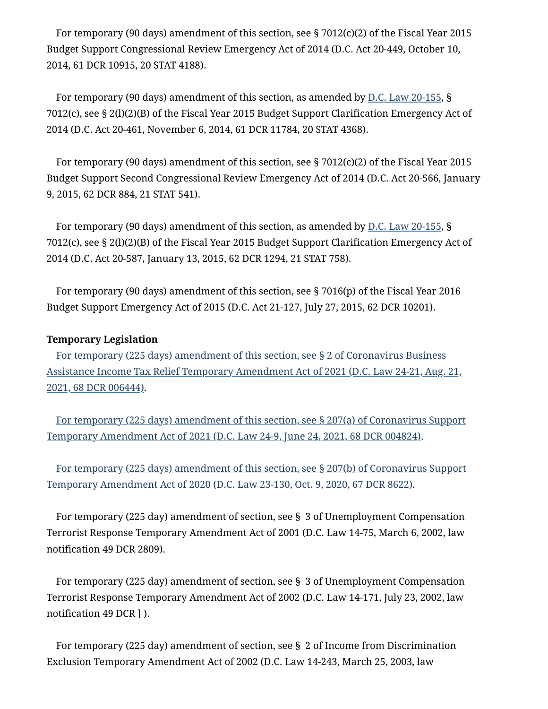For temporary (90 days) amendment of this section, see § 7012(c)(2) of the Fiscal Year 2015 Budget Support Congressional Review Emergency Act of 2014 (D.C. Act 20-449, October 10, 2014, 61 DCR 10915, 20 STAT 4188).

For temporary (90 days) amendment of this section, as amended by D.C. [Law 20-155](https://code.dccouncil.us/us/dc/council/laws/20-155), § 7012(c), see § 2(l)(2)(B) of the Fiscal Year 2015 Budget Support Clarification Emergency Act of 2014 (D.C. Act 20-461, November 6, 2014, 61 DCR 11784, 20 STAT 4368).

For temporary (90 days) amendment of this section, see § 7012(c)(2) of the Fiscal Year 2015 Budget Support Second Congressional Review Emergency Act of 2014 (D.C. Act 20-566, January 9, 2015, 62 DCR 884, 21 STAT 541).

For temporary (90 days) amendment of this section, as amended by D.C. [Law 20-155](https://code.dccouncil.us/us/dc/council/laws/20-155), § 7012(c), see § 2(l)(2)(B) of the Fiscal Year 2015 Budget Support Clarification Emergency Act of 2014 (D.C. Act 20-587, January 13, 2015, 62 DCR 1294, 21 STAT 758).

For temporary (90 days) amendment of this section, see § 7016(p) of the Fiscal Year 2016 Budget Support Emergency Act of 2015 (D.C. Act 21-127, July 27, 2015, 62 DCR 10201).

### **Temporary Legislation**

[For temporary](https://code.dccouncil.us/us/dc/council/laws/24-21#%C2%A72) (225 days) amendment of this section, see § 2 of Coronavirus Business Assistance Income Tax Relief Temporary Amendment Act of 2021 (D.C. Law 24-21, Aug. 21, 2021, 68 DCR 006444).

[For temporary](https://code.dccouncil.us/us/dc/council/laws/24-9#%C2%A7207(a)) (225 days) amendment of this section, see § 207(a) of Coronavirus Support Temporary Amendment Act of 2021 (D.C. Law 24-9, June 24, 2021, 68 DCR 004824).

[For temporary](https://code.dccouncil.us/us/dc/council/laws/23-130#%C2%A7207(b)) (225 days) amendment of this section, see § 207(b) of Coronavirus Support Temporary Amendment Act of 2020 (D.C. Law 23-130, Oct. 9, 2020, 67 DCR 8622).

For temporary (225 day) amendment of section, see § 3 of Unemployment Compensation Terrorist Response Temporary Amendment Act of 2001 (D.C. Law 14-75, March 6, 2002, law notification 49 DCR 2809).

For temporary (225 day) amendment of section, see § 3 of Unemployment Compensation Terrorist Response Temporary Amendment Act of 2002 (D.C. Law 14-171, July 23, 2002, law notification 49 DCR ] ).

For temporary (225 day) amendment of section, see § 2 of Income from Discrimination Exclusion Temporary Amendment Act of 2002 (D.C. Law 14-243, March 25, 2003, law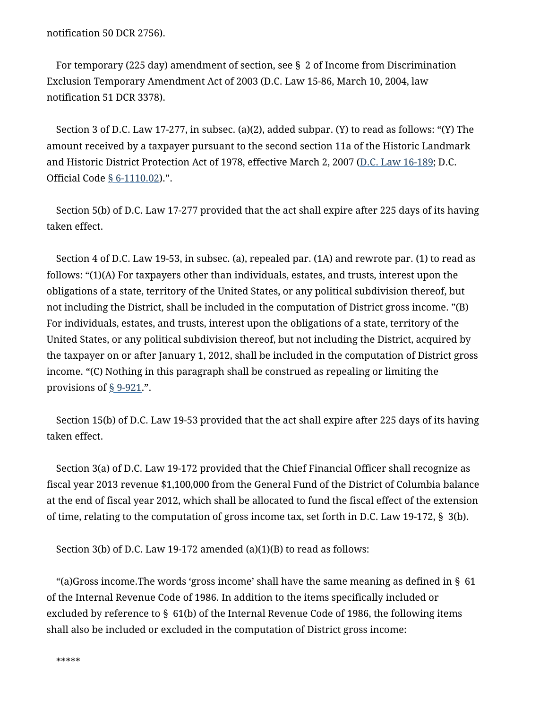notification 50 DCR 2756).

For temporary (225 day) amendment of section, see § 2 of Income from Discrimination Exclusion Temporary Amendment Act of 2003 (D.C. Law 15-86, March 10, 2004, law notification 51 DCR 3378).

Section 3 of D.C. Law 17-277, in subsec. (a)(2), added subpar. (Y) to read as follows: "(Y) The amount received by a taxpayer pursuant to the second section 11a of the Historic Landmark and Historic District Protection Act of 1978, effective March 2, 2007 (D.C. [Law 16-189](https://code.dccouncil.us/us/dc/council/laws/16-189); D.C. Official Code § [6-1110.02](https://code.dccouncil.us/us/dc/council/code/sections/6-1110.02)).".

Section 5(b) of D.C. Law 17-277 provided that the act shall expire after 225 days of its having taken effect.

Section 4 of D.C. Law 19-53, in subsec. (a), repealed par. (1A) and rewrote par. (1) to read as follows: "(1)(A) For taxpayers other than individuals, estates, and trusts, interest upon the obligations of a state, territory of the United States, or any political subdivision thereof, but not including the District, shall be included in the computation of District gross income. "(B) For individuals, estates, and trusts, interest upon the obligations of a state, territory of the United States, or any political subdivision thereof, but not including the District, acquired by the taxpayer on or after January 1, 2012, shall be included in the computation of District gross income. "(C) Nothing in this paragraph shall be construed as repealing or limiting the provisions of  $\S$  [9-921](https://code.dccouncil.us/us/dc/council/code/sections/9-921).".

Section 15(b) of D.C. Law 19-53 provided that the act shall expire after 225 days of its having taken effect.

Section 3(a) of D.C. Law 19-172 provided that the Chief Financial Officer shall recognize as fiscal year 2013 revenue \$1,100,000 from the General Fund of the District of Columbia balance at the end of fiscal year 2012, which shall be allocated to fund the fiscal effect of the extension of time, relating to the computation of gross income tax, set forth in D.C. Law 19-172, § 3(b).

Section 3(b) of D.C. Law 19-172 amended (a)(1)(B) to read as follows:

"(a)Gross income. The words 'gross income' shall have the same meaning as defined in  $\S$  61 of the Internal Revenue Code of 1986. In addition to the items specifically included or excluded by reference to § 61(b) of the Internal Revenue Code of 1986, the following items shall also be included or excluded in the computation of District gross income: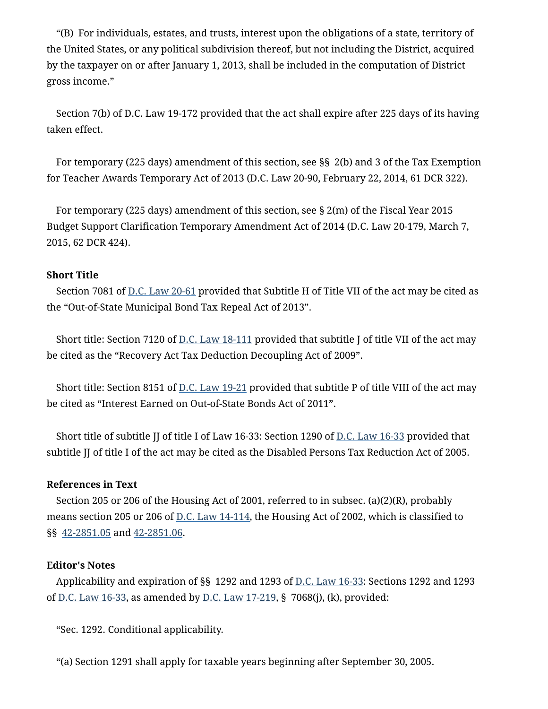"(B) For individuals, estates, and trusts, interest upon the obligations of a state, territory of the United States, or any political subdivision thereof, but not including the District, acquired by the taxpayer on or after January 1, 2013, shall be included in the computation of District gross income."

Section 7(b) of D.C. Law 19-172 provided that the act shall expire after 225 days of its having taken effect.

For temporary (225 days) amendment of this section, see §§ 2(b) and 3 of the Tax Exemption for Teacher Awards Temporary Act of 2013 (D.C. Law 20-90, February 22, 2014, 61 DCR 322).

For temporary (225 days) amendment of this section, see § 2(m) of the Fiscal Year 2015 Budget Support Clarification Temporary Amendment Act of 2014 (D.C. Law 20-179, March 7, 2015, 62 DCR 424).

### **Short Title**

Section 7081 of D.C. [Law 20-61](https://code.dccouncil.us/us/dc/council/laws/20-61) provided that Subtitle H of Title VII of the act may be cited as the "Out-of-State Municipal Bond Tax Repeal Act of 2013".

Short title: Section 7120 of D.C. [Law 18-111](https://code.dccouncil.us/us/dc/council/laws/18-111) provided that subtitle J of title VII of the act may be cited as the "Recovery Act Tax Deduction Decoupling Act of 2009".

Short title: Section 8151 of <u>D.C. [Law 19-21](https://code.dccouncil.us/us/dc/council/laws/19-21)</u> provided that subtitle P of title VIII of the act may be cited as "Interest Earned on Out-of-State Bonds Act of 2011".

Short title of subtitle JJ of title I of Law 16-33: Section 1290 of D.C. [Law 16-33](https://code.dccouncil.us/us/dc/council/laws/16-33) provided that subtitle JJ of title I of the act may be cited as the Disabled Persons Tax Reduction Act of 2005.

### **References in Text**

Section 205 or 206 of the Housing Act of 2001, referred to in subsec. (a)(2)(R), probably means section 205 or 206 of D.C. [Law 14-114](https://code.dccouncil.us/us/dc/council/laws/14-114), the Housing Act of 2002, which is classified to §§ [42-2851.05](https://code.dccouncil.us/us/dc/council/code/sections/42-2851.05) and [42-2851.06](https://code.dccouncil.us/us/dc/council/code/sections/42-2851.06).

#### **Editor's Notes**

Applicability and expiration of §§ 1292 and 1293 of D.C. [Law 16-33](https://code.dccouncil.us/us/dc/council/laws/16-33): Sections 1292 and 1293 of <u>D.C. Law 16-33</u>, as amended by <u>D.C. Law 17-219</u>, § 7068(j), (k), provided:

"Sec. 1292. Conditional applicability.

"(a) Section 1291 shall apply for taxable years beginning after September 30, 2005.